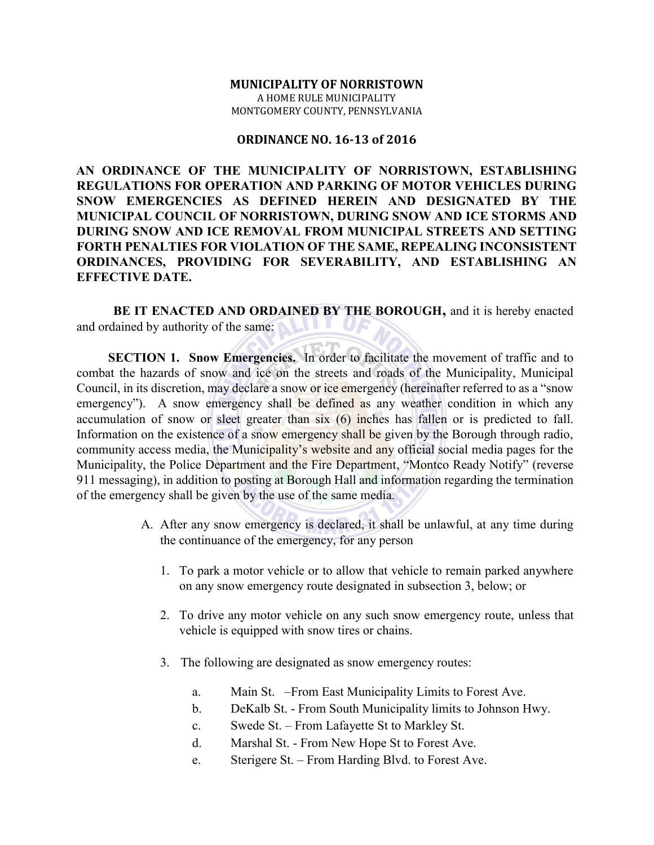## **MUNICIPALITY OF NORRISTOWN**  A HOME RULE MUNICIPALITY MONTGOMERY COUNTY, PENNSYLVANIA

## **ORDINANCE NO. 16-13 of 2016**

**AN ORDINANCE OF THE MUNICIPALITY OF NORRISTOWN, ESTABLISHING REGULATIONS FOR OPERATION AND PARKING OF MOTOR VEHICLES DURING SNOW EMERGENCIES AS DEFINED HEREIN AND DESIGNATED BY THE MUNICIPAL COUNCIL OF NORRISTOWN, DURING SNOW AND ICE STORMS AND DURING SNOW AND ICE REMOVAL FROM MUNICIPAL STREETS AND SETTING FORTH PENALTIES FOR VIOLATION OF THE SAME, REPEALING INCONSISTENT ORDINANCES, PROVIDING FOR SEVERABILITY, AND ESTABLISHING AN EFFECTIVE DATE.** 

 **BE IT ENACTED AND ORDAINED BY THE BOROUGH,** and it is hereby enacted and ordained by authority of the same:

**SECTION 1. Snow Emergencies.** In order to facilitate the movement of traffic and to combat the hazards of snow and ice on the streets and roads of the Municipality, Municipal Council, in its discretion, may declare a snow or ice emergency (hereinafter referred to as a "snow emergency"). A snow emergency shall be defined as any weather condition in which any accumulation of snow or sleet greater than six (6) inches has fallen or is predicted to fall. Information on the existence of a snow emergency shall be given by the Borough through radio, community access media, the Municipality's website and any official social media pages for the Municipality, the Police Department and the Fire Department, "Montco Ready Notify" (reverse 911 messaging), in addition to posting at Borough Hall and information regarding the termination of the emergency shall be given by the use of the same media.

- A. After any snow emergency is declared, it shall be unlawful, at any time during the continuance of the emergency, for any person
	- 1. To park a motor vehicle or to allow that vehicle to remain parked anywhere on any snow emergency route designated in subsection 3, below; or
	- 2. To drive any motor vehicle on any such snow emergency route, unless that vehicle is equipped with snow tires or chains.
	- 3. The following are designated as snow emergency routes:
		- a. Main St. –From East Municipality Limits to Forest Ave.
		- b. DeKalb St. From South Municipality limits to Johnson Hwy.
		- c. Swede St. From Lafayette St to Markley St.
		- d. Marshal St. From New Hope St to Forest Ave.
		- e. Sterigere St. From Harding Blvd. to Forest Ave.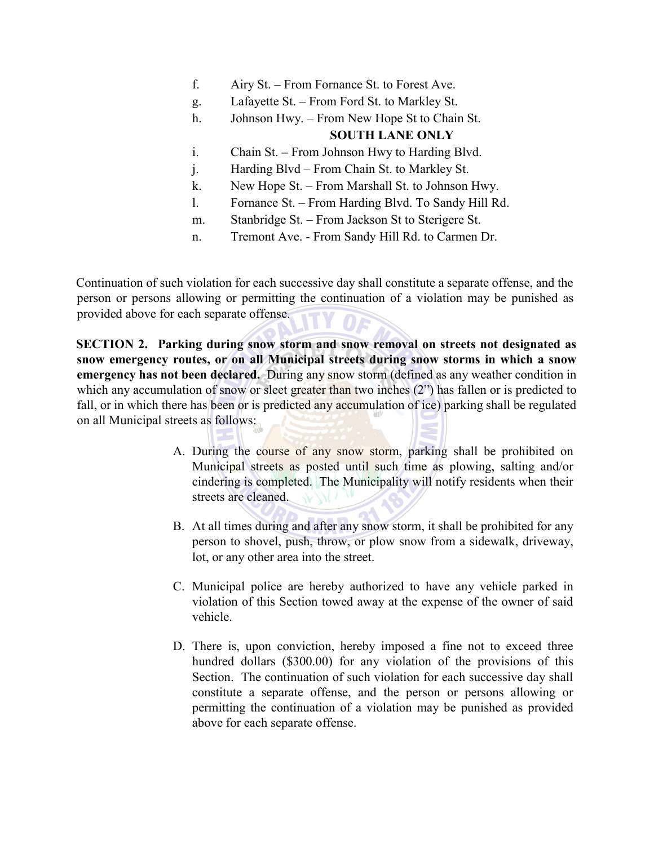- f. Airy St. From Fornance St. to Forest Ave.
- g. Lafayette St. From Ford St. to Markley St.
- h. Johnson Hwy. From New Hope St to Chain St.

## **SOUTH LANE ONLY**

- i. Chain St. **–** From Johnson Hwy to Harding Blvd.
- j. Harding Blvd From Chain St. to Markley St.
- k. New Hope St. From Marshall St. to Johnson Hwy.
- l. Fornance St. From Harding Blvd. To Sandy Hill Rd.
- m. Stanbridge St. From Jackson St to Sterigere St.
- n. Tremont Ave. From Sandy Hill Rd. to Carmen Dr.

Continuation of such violation for each successive day shall constitute a separate offense, and the person or persons allowing or permitting the continuation of a violation may be punished as provided above for each separate offense.

**SECTION 2. Parking during snow storm and snow removal on streets not designated as snow emergency routes, or on all Municipal streets during snow storms in which a snow emergency has not been declared.** During any snow storm (defined as any weather condition in which any accumulation of snow or sleet greater than two inches (2") has fallen or is predicted to fall, or in which there has been or is predicted any accumulation of ice) parking shall be regulated on all Municipal streets as follows:

- A. During the course of any snow storm, parking shall be prohibited on Municipal streets as posted until such time as plowing, salting and/or cindering is completed. The Municipality will notify residents when their streets are cleaned.  $\sqrt{11}$
- B. At all times during and after any snow storm, it shall be prohibited for any person to shovel, push, throw, or plow snow from a sidewalk, driveway, lot, or any other area into the street.
- C. Municipal police are hereby authorized to have any vehicle parked in violation of this Section towed away at the expense of the owner of said vehicle.
- D. There is, upon conviction, hereby imposed a fine not to exceed three hundred dollars (\$300.00) for any violation of the provisions of this Section. The continuation of such violation for each successive day shall constitute a separate offense, and the person or persons allowing or permitting the continuation of a violation may be punished as provided above for each separate offense.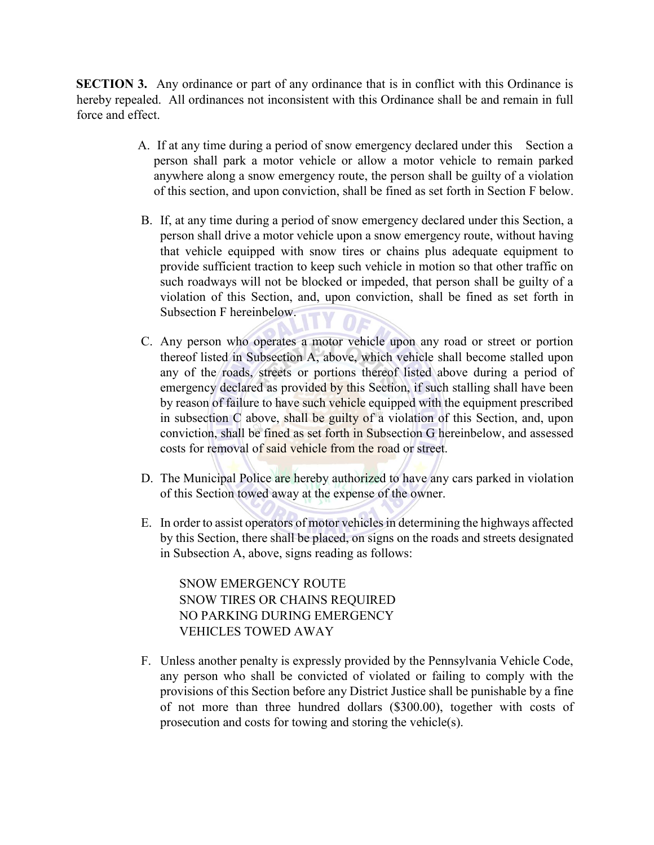**SECTION 3.** Any ordinance or part of any ordinance that is in conflict with this Ordinance is hereby repealed. All ordinances not inconsistent with this Ordinance shall be and remain in full force and effect.

- A. If at any time during a period of snow emergency declared under this Section a person shall park a motor vehicle or allow a motor vehicle to remain parked anywhere along a snow emergency route, the person shall be guilty of a violation of this section, and upon conviction, shall be fined as set forth in Section F below.
- B. If, at any time during a period of snow emergency declared under this Section, a person shall drive a motor vehicle upon a snow emergency route, without having that vehicle equipped with snow tires or chains plus adequate equipment to provide sufficient traction to keep such vehicle in motion so that other traffic on such roadways will not be blocked or impeded, that person shall be guilty of a violation of this Section, and, upon conviction, shall be fined as set forth in Subsection F hereinbelow.
- C. Any person who operates a motor vehicle upon any road or street or portion thereof listed in Subsection A, above, which vehicle shall become stalled upon any of the roads, streets or portions thereof listed above during a period of emergency declared as provided by this Section, if such stalling shall have been by reason of failure to have such vehicle equipped with the equipment prescribed in subsection C above, shall be guilty of a violation of this Section, and, upon conviction, shall be fined as set forth in Subsection G hereinbelow, and assessed costs for removal of said vehicle from the road or street.
- D. The Municipal Police are hereby authorized to have any cars parked in violation of this Section towed away at the expense of the owner.
- E. In order to assist operators of motor vehicles in determining the highways affected by this Section, there shall be placed, on signs on the roads and streets designated in Subsection A, above, signs reading as follows:

SNOW EMERGENCY ROUTE SNOW TIRES OR CHAINS REQUIRED NO PARKING DURING EMERGENCY VEHICLES TOWED AWAY

F. Unless another penalty is expressly provided by the Pennsylvania Vehicle Code, any person who shall be convicted of violated or failing to comply with the provisions of this Section before any District Justice shall be punishable by a fine of not more than three hundred dollars (\$300.00), together with costs of prosecution and costs for towing and storing the vehicle(s).